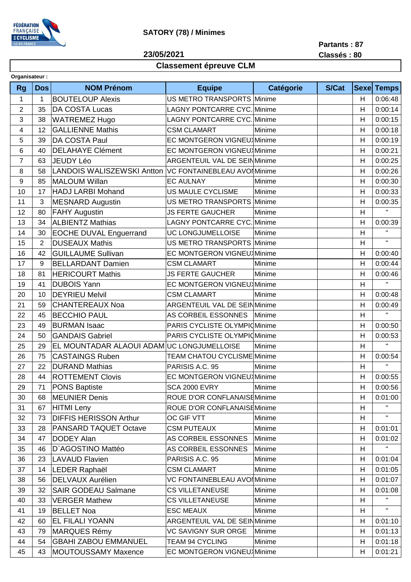

# **SATORY (78) / Minimes**

**23/05/2021**

**Partants : 87 Classés : 80**

# **Classement épreuve CLM**

| Organisateur:           |                |                                                         |                                     |                  |              |                         |              |
|-------------------------|----------------|---------------------------------------------------------|-------------------------------------|------------------|--------------|-------------------------|--------------|
| <b>Rg</b>               | <b>Dos</b>     | <b>NOM Prénom</b>                                       | <b>Equipe</b>                       | <b>Catégorie</b> | <b>S/Cat</b> | <b>Sexel</b>            | <b>Temps</b> |
| $\mathbf 1$             | 1              | <b>BOUTELOUP Alexis</b>                                 | US METRO TRANSPORTS Minime          |                  |              | H                       | 0:06:48      |
| $\overline{2}$          | 35             | DA COSTA Lucas                                          | <b>LAGNY PONTCARRE CYC. Minime</b>  |                  |              | H                       | 0:00:14      |
| 3                       | 38             | <b>WATREMEZ Hugo</b>                                    | <b>LAGNY PONTCARRE CYC. Minime</b>  |                  |              | Η                       | 0:00:15      |
| $\overline{\mathbf{4}}$ | 12             | <b>GALLIENNE Mathis</b>                                 | <b>CSM CLAMART</b>                  | Minime           |              | H                       | 0:00:18      |
| 5                       | 39             | DA COSTA Paul                                           | EC MONTGERON VIGNEU Minime          |                  |              | H                       | 0:00:19      |
| 6                       | 40             | <b>DELAHAYE Clément</b>                                 | EC MONTGERON VIGNEU Minime          |                  |              | H                       | 0:00:21      |
| $\overline{7}$          | 63             | <b>JEUDY Léo</b>                                        | <b>ARGENTEUIL VAL DE SEINMinime</b> |                  |              | H                       | 0:00:25      |
| 8                       | 58             | LANDOIS WALISZEWSKI Antton VC FONTAINEBLEAU AVOI Minime |                                     |                  |              | Η                       | 0:00:26      |
| 9                       | 85             | <b>MALOUM Willan</b>                                    | <b>EC AULNAY</b>                    | Minime           |              | Η                       | 0:00:30      |
| 10                      | 17             | <b>HADJ LARBI Mohand</b>                                | US MAULE CYCLISME                   | Minime           |              | H                       | 0:00:33      |
| 11                      | 3              | <b>MESNARD Augustin</b>                                 | US METRO TRANSPORTS Minime          |                  |              | $\overline{\mathsf{H}}$ | 0:00:35      |
| 12                      | 80             | <b>FAHY Augustin</b>                                    | <b>JS FERTE GAUCHER</b>             | Minime           |              | H                       | $\mathbf H$  |
| 13                      | 34             | <b>ALBIENTZ Mathias</b>                                 | LAGNY PONTCARRE CYC.                | Minime           |              | Η                       | 0:00:39      |
| 14                      | 30             | <b>EOCHE DUVAL Enguerrand</b>                           | UC LONGJUMELLOISE                   | Minime           |              | H                       | $\mathbf H$  |
| 15                      | $\overline{2}$ | <b>DUSEAUX Mathis</b>                                   | <b>US METRO TRANSPORTS</b>          | Minime           |              | H                       | H.           |
| 16                      | 42             | <b>GUILLAUME Sullivan</b>                               | <b>EC MONTGERON VIGNEU</b> Minime   |                  |              | H                       | 0:00:40      |
| 17                      | 9              | <b>BELLARDANT Damien</b>                                | <b>CSM CLAMART</b>                  | Minime           |              | $\overline{\mathsf{H}}$ | 0:00:44      |
| 18                      | 81             | <b>HERICOURT Mathis</b>                                 | <b>JS FERTE GAUCHER</b>             | Minime           |              | H                       | 0:00:46      |
| 19                      | 41             | <b>DUBOIS Yann</b>                                      | EC MONTGERON VIGNEU Minime          |                  |              | H                       | $\mathbf{H}$ |
| 20                      | 10             | <b>DEYRIEU Melvil</b>                                   | <b>CSM CLAMART</b>                  | Minime           |              | H                       | 0:00:48      |
| 21                      | 59             | <b>CHANTEREAUX Noa</b>                                  | <b>ARGENTEUIL VAL DE SEINMinime</b> |                  |              | Η                       | 0:00:49      |
| 22                      | 45             | <b>BECCHIO PAUL</b>                                     | AS CORBEIL ESSONNES                 | Minime           |              | H                       | $\mathbf H$  |
| 23                      | 49             | <b>BURMAN Isaac</b>                                     | PARIS CYCLISTE OLYMPIOMinime        |                  |              | Η                       | 0:00:50      |
| 24                      | 50             | <b>GANDAIS Gabriel</b>                                  | PARIS CYCLISTE OLYMPIOMinime        |                  |              | Η                       | 0:00:53      |
| 25                      | 29             | EL MOUNTADAR ALAOUI ADAM UC LONGJUMELLOISE              |                                     | Minime           |              | H                       | H.           |
| 26                      | 75             | <b>CASTAINGS Ruben</b>                                  | <b>TEAM CHATOU CYCLISME Minime</b>  |                  |              | H                       | 0:00:54      |
| 27                      | 22             | <b>DURAND Mathias</b>                                   | PARISIS A.C. 95                     | Minime           |              | H                       | H.           |
| 28                      | 44             | <b>ROTTEMENT Clovis</b>                                 | <b>EC MONTGERON VIGNEU</b> Minime   |                  |              | Η                       | 0:00:55      |
| 29                      | 71             | <b>PONS Baptiste</b>                                    | <b>SCA 2000 EVRY</b>                | Minime           |              | H                       | 0:00:56      |
| 30                      | 68             | MEUNIER Denis                                           | ROUE D'OR CONFLANAISEMinime         |                  |              | H                       | 0:01:00      |
| 31                      | 67             | HITMI Leny                                              | ROUE D'OR CONFLANAISEMinime         |                  |              | Н                       | $\mathbf{H}$ |
| 32                      | 73             | <b>DIFFIS HERISSON Arthur</b>                           | OC GIF VTT                          | Minime           |              | H                       | $\mathbf H$  |
| 33                      | 28             | <b>PANSARD TAQUET Octave</b>                            | <b>CSM PUTEAUX</b>                  | Minime           |              | H                       | 0:01:01      |
| 34                      | 47             | <b>DODEY Alan</b>                                       | AS CORBEIL ESSONNES                 | Minime           |              | Η                       | 0:01:02      |
| 35                      | 46             | D'AGOSTINO Mattéo                                       | AS CORBEIL ESSONNES                 | Minime           |              | H                       |              |
| 36                      | 23             | <b>LAVAUD Flavien</b>                                   | PARISIS A.C. 95                     | Minime           |              | Η                       | 0:01:04      |
| 37                      | 14             | LEDER Raphaël                                           | <b>CSM CLAMART</b>                  | Minime           |              | H                       | 0:01:05      |
| 38                      | 56             | <b>DELVAUX Aurélien</b>                                 | <b>VC FONTAINEBLEAU AVOI Minime</b> |                  |              | H                       | 0:01:07      |
| 39                      | 32             | <b>SAIR GODEAU Salmane</b>                              | <b>CS VILLETANEUSE</b>              | Minime           |              | H                       | 0:01:08      |
| 40                      | 33             | <b>VERGER Mathew</b>                                    | <b>CS VILLETANEUSE</b>              | Minime           |              | H                       |              |
| 41                      | 19             | <b>BELLET Noa</b>                                       | <b>ESC MEAUX</b>                    | Minime           |              | Н                       | $\mathbf{H}$ |
| 42                      | 60             | <b>EL FILALI YOANN</b>                                  | <b>ARGENTEUIL VAL DE SEINMinime</b> |                  |              | Н                       | 0:01:10      |
| 43                      | 79             | <b>MARQUES Rémy</b>                                     | <b>VC SAVIGNY SUR ORGE</b>          | Minime           |              | Н                       | 0:01:13      |
| 44                      | 54             | <b>GBAHI ZABOU EMMANUEL</b>                             | <b>TEAM 94 CYCLING</b>              | Minime           |              | Н                       | 0:01:18      |
| 45                      | 43             | <b>MOUTOUSSAMY Maxence</b>                              | EC MONTGERON VIGNEU Minime          |                  |              | H                       | 0:01:21      |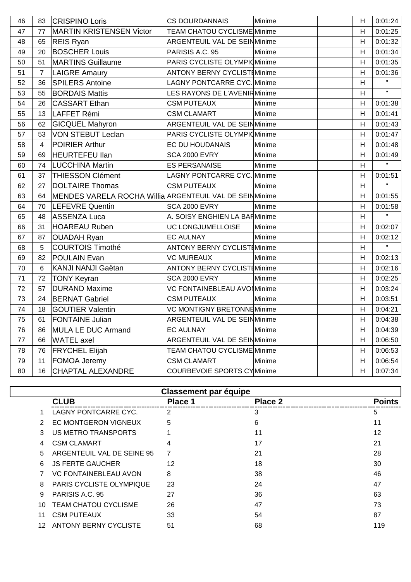| 46 | 83             | <b>CRISPINO Loris</b>                                    | <b>CS DOURDANNAIS</b>                | Minime | H | 0:01:24                |
|----|----------------|----------------------------------------------------------|--------------------------------------|--------|---|------------------------|
| 47 | 77             | <b>MARTIN KRISTENSEN Victor</b>                          | <b>TEAM CHATOU CYCLISME Minime</b>   |        | H | 0:01:25                |
| 48 | 65             | <b>REIS Ryan</b>                                         | ARGENTEUIL VAL DE SEINMinime         |        | H | 0:01:32                |
| 49 | 20             | <b>BOSCHER Louis</b>                                     | PARISIS A.C. 95                      | Minime | H | 0:01:34                |
| 50 | 51             | <b>MARTINS Guillaume</b>                                 | PARIS CYCLISTE OLYMPIO Minime        |        | H | 0:01:35                |
| 51 | $\overline{7}$ | <b>LAIGRE Amaury</b>                                     | <b>ANTONY BERNY CYCLISTIMinime</b>   |        | H | 0:01:36                |
| 52 | 36             | <b>SPILERS Antoine</b>                                   | <b>LAGNY PONTCARRE CYC. Minime</b>   |        | H | $\mathbf{H}$           |
| 53 | 55             | <b>BORDAIS Mattis</b>                                    | LES RAYONS DE L'AVENIRMinime         |        | H | $\mathbf{H}^{\dagger}$ |
| 54 | 26             | <b>CASSART Ethan</b>                                     | <b>CSM PUTEAUX</b>                   | Minime | H | 0:01:38                |
| 55 | 13             | LAFFET Rémi                                              | <b>CSM CLAMART</b>                   | Minime | H | 0:01:41                |
| 56 | 62             | <b>GICQUEL Mahyron</b>                                   | <b>ARGENTEUIL VAL DE SEINMinime</b>  |        | H | 0:01:43                |
| 57 | 53             | <b>VON STEBUT Leclan</b>                                 | PARIS CYCLISTE OLYMPIOMinime         |        | H | 0:01:47                |
| 58 | 4              | <b>POIRIER Arthur</b>                                    | EC DU HOUDANAIS                      | Minime | H | 0:01:48                |
| 59 | 69             | <b>HEURTEFEU llan</b>                                    | <b>SCA 2000 EVRY</b>                 | Minime | H | 0:01:49                |
| 60 | 74             | <b>LUCCHINA Martin</b>                                   | <b>ES PERSANAISE</b>                 | Minime | H | $\mathbf{H}$           |
| 61 | 37             | <b>THIESSON Clément</b>                                  | <b>LAGNY PONTCARRE CYC. Minime</b>   |        | H | 0:01:51                |
| 62 | 27             | <b>DOLTAIRE Thomas</b>                                   | <b>CSM PUTEAUX</b>                   | Minime | H | $\mathbf{H}$           |
| 63 | 64             | MENDES VARELA ROCHA Willia ARGENTEUIL VAL DE SEIN Minime |                                      |        | H | 0:01:55                |
| 64 | 70             | <b>LEFEVRE Quentin</b>                                   | <b>SCA 2000 EVRY</b>                 | Minime | H | 0:01:58                |
| 65 | 48             | ASSENZA Luca                                             | A. SOISY ENGHIEN LA BAFMinime        |        | H | $\mathbf{H}$           |
| 66 | 31             | <b>HOAREAU Ruben</b>                                     | UC LONGJUMELLOISE                    | Minime | H | 0:02:07                |
| 67 | 87             | <b>OUADAH Ryan</b>                                       | <b>EC AULNAY</b>                     | Minime | H | 0:02:12                |
| 68 | $\overline{5}$ | <b>COURTOIS Timothé</b>                                  | <b>ANTONY BERNY CYCLIST Minime</b>   |        | H | $\mathbf{H}^{\pm}$     |
| 69 | 82             | <b>POULAIN Evan</b>                                      | <b>VC MUREAUX</b>                    | Minime | H | 0:02:13                |
| 70 | $6\phantom{1}$ | KANJI NANJI Gaëtan                                       | <b>ANTONY BERNY CYCLISTI Minime</b>  |        | H | 0:02:16                |
| 71 | 72             | <b>TONY Keyran</b>                                       | <b>SCA 2000 EVRY</b>                 | Minime | H | 0:02:25                |
| 72 | 57             | <b>DURAND Maxime</b>                                     | <b>VC FONTAINEBLEAU AVOI Minime</b>  |        | H | 0:03:24                |
| 73 | 24             | <b>BERNAT Gabriel</b>                                    | <b>CSM PUTEAUX</b>                   | Minime | H | 0:03:51                |
| 74 | 18             | <b>GOUTIER Valentin</b>                                  | VC MONTIGNY BRETONNE Minime          |        | H | 0:04:21                |
| 75 | 61             | <b>FONTAINE Julian</b>                                   | <b>ARGENTEUIL VAL DE SEIN Minime</b> |        | H | 0:04:38                |
| 76 | 86             | MULA LE DUC Armand                                       | <b>EC AULNAY</b>                     | Minime | H | 0:04:39                |
| 77 | 66             | WATEL axel                                               | <b>ARGENTEUIL VAL DE SEIN Minime</b> |        | H | 0:06:50                |
| 78 | 76             | <b>FRYCHEL Elijah</b>                                    | <b>TEAM CHATOU CYCLISME Minime</b>   |        | H | 0:06:53                |
| 79 | 11             | FOMOA Jeremy                                             | <b>CSM CLAMART</b>                   | Minime | H | 0:06:54                |
| 80 | 16             | <b>CHAPTAL ALEXANDRE</b>                                 | COURBEVOIE SPORTS CYMinime           |        | H | 0:07:34                |

|     | <b>Classement par équipe</b>    |         |         |               |  |  |
|-----|---------------------------------|---------|---------|---------------|--|--|
|     | <b>CLUB</b>                     | Place 1 | Place 2 | <b>Points</b> |  |  |
|     | LAGNY PONTCARRE CYC.            | 2       | 3       | 5             |  |  |
| 2   | EC MONTGERON VIGNEUX            | 5       | 6       | 11            |  |  |
| 3   | US METRO TRANSPORTS             |         | 11      | 12            |  |  |
| 4   | <b>CSM CLAMART</b>              | 4       | 17      | 21            |  |  |
| 5   | ARGENTEUIL VAL DE SEINE 95      | 7       | 21      | 28            |  |  |
| 6   | <b>JS FERTE GAUCHER</b>         | 12      | 18      | 30            |  |  |
|     | <b>VC FONTAINEBLEAU AVON</b>    | 8       | 38      | 46            |  |  |
| 8   | <b>PARIS CYCLISTE OLYMPIQUE</b> | 23      | 24      | 47            |  |  |
| 9   | PARISIS A.C. 95                 | 27      | 36      | 63            |  |  |
| 10  | <b>TEAM CHATOU CYCLISME</b>     | 26      | 47      | 73            |  |  |
| 11  | <b>CSM PUTEAUX</b>              | 33      | 54      | 87            |  |  |
| 12. | <b>ANTONY BERNY CYCLISTE</b>    | 51      | 68      | 119           |  |  |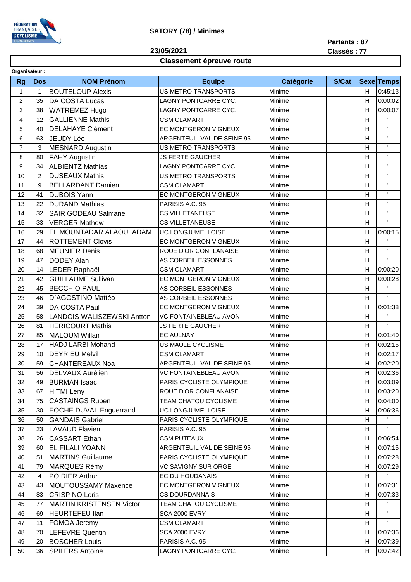

#### **SATORY (78) / Minimes**

**23/05/2021**

**Partants : 87**

### **Classement épreuve route**

| <b>Rg</b>      | <b>Dos</b>     | <b>NOM Prénom</b>                 | <b>Equipe</b>              | Catégorie | S/Cat |   | <b>Sexe Temps</b>         |
|----------------|----------------|-----------------------------------|----------------------------|-----------|-------|---|---------------------------|
| $\mathbf{1}$   | $\mathbf{1}$   | <b>BOUTELOUP Alexis</b>           | US METRO TRANSPORTS        | Minime    |       | H | 0:45:13                   |
|                |                |                                   |                            |           |       |   |                           |
| $\overline{c}$ | 35             | <b>DA COSTA Lucas</b>             | LAGNY PONTCARRE CYC.       | Minime    |       | H | 0:00:02                   |
| 3              | 38             | <b>WATREMEZ Hugo</b>              | LAGNY PONTCARRE CYC.       | Minime    |       | H | 0:00:07<br>$\mathbf{H}$ . |
| 4              | 12             | <b>GALLIENNE Mathis</b>           | <b>CSM CLAMART</b>         | Minime    |       | H | $\mathbf{H}$              |
| 5              | 40             | <b>DELAHAYE Clément</b>           | EC MONTGERON VIGNEUX       | Minime    |       | H |                           |
| 6              | 63             | JEUDY Léo                         | ARGENTEUIL VAL DE SEINE 95 | Minime    |       | H | $\mathbf{H}$              |
| $\overline{7}$ | 3              | <b>MESNARD Augustin</b>           | <b>US METRO TRANSPORTS</b> | Minime    |       | H | $\mathbf H$               |
| 8              | 80             | <b>FAHY Augustin</b>              | JS FERTE GAUCHER           | Minime    |       | H | $\mathbf H$               |
| 9              | 34             | <b>ALBIENTZ Mathias</b>           | LAGNY PONTCARRE CYC.       | Minime    |       | H | $\mathbf H$               |
| 10             | $\overline{c}$ | <b>DUSEAUX Mathis</b>             | US METRO TRANSPORTS        | Minime    |       | H | $\mathbf H$               |
| 11             | 9              | <b>BELLARDANT Damien</b>          | <b>CSM CLAMART</b>         | Minime    |       | H | $\mathbf H$               |
| 12             | 41             | <b>DUBOIS Yann</b>                | EC MONTGERON VIGNEUX       | Minime    |       | H | $\mathbf H$               |
| 13             | 22             | <b>DURAND Mathias</b>             | PARISIS A.C. 95            | Minime    |       | H | $\mathbf{H}$              |
| 14             | 32             | <b>SAIR GODEAU Salmane</b>        | <b>CS VILLETANEUSE</b>     | Minime    |       | H | $\mathbf{H}$              |
| 15             | 33             | <b>VERGER Mathew</b>              | <b>CS VILLETANEUSE</b>     | Minime    |       | H | $\mathbf{H}$ .            |
| 16             | 29             | EL MOUNTADAR ALAOUI ADAM          | UC LONGJUMELLOISE          | Minime    |       | H | 0:00:15                   |
| 17             | 44             | <b>ROTTEMENT Clovis</b>           | EC MONTGERON VIGNEUX       | Minime    |       | H | $\mathbf{H}$ .            |
| 18             | 68             | <b>MEUNIER Denis</b>              | ROUE D'OR CONFLANAISE      | Minime    |       | H | $\mathbf{H}$              |
| 19             | 47             | <b>DODEY Alan</b>                 | AS CORBEIL ESSONNES        | Minime    |       | Н | $\mathbf{H}$              |
| 20             | 14             | LEDER Raphaël                     | <b>CSM CLAMART</b>         | Minime    |       | H | 0:00:20                   |
| 21             | 42             | <b>GUILLAUME Sullivan</b>         | EC MONTGERON VIGNEUX       | Minime    |       | Н | 0:00:28                   |
| 22             | 45             | <b>BECCHIO PAUL</b>               | AS CORBEIL ESSONNES        | Minime    |       | H | $\mathbf{H}$ .            |
| 23             | 46             | D'AGOSTINO Mattéo                 | AS CORBEIL ESSONNES        | Minime    |       | H | $\mathbf{H}$ .            |
|                |                |                                   |                            |           |       |   |                           |
| 24             | 39             | DA COSTA Paul                     | EC MONTGERON VIGNEUX       | Minime    |       | H | 0:01:38<br>$\mathbf{H}$   |
| 25             | 58             | <b>LANDOIS WALISZEWSKI Antton</b> | VC FONTAINEBLEAU AVON      | Minime    |       | H | $\mathbf{H}$ .            |
| 26             | 81             | <b>HERICOURT Mathis</b>           | <b>JS FERTE GAUCHER</b>    | Minime    |       | H |                           |
| 27             | 85             | <b>MALOUM Willan</b>              | <b>EC AULNAY</b>           | Minime    |       | H | 0:01:40                   |
| 28             | 17             | <b>HADJ LARBI Mohand</b>          | US MAULE CYCLISME          | Minime    |       | H | 0:02:15                   |
| 29             | 10             | <b>DEYRIEU Melvil</b>             | <b>CSM CLAMART</b>         | Minime    |       | H | 0:02:17                   |
| 30             | 59             | <b>CHANTEREAUX Noa</b>            | ARGENTEUIL VAL DE SEINE 95 | Minime    |       | Н | 0:02:20                   |
| 31             | 56             | <b>DELVAUX Aurélien</b>           | VC FONTAINEBLEAU AVON      | Minime    |       | н | 0:02:36                   |
| 32             | 49             | <b>BURMAN Isaac</b>               | PARIS CYCLISTE OLYMPIQUE   | Minime    |       | H | 0:03:09                   |
| 33             | 67             | <b>HITMI</b> Leny                 | ROUE D'OR CONFLANAISE      | Minime    |       | H | 0:03:20                   |
| 34             | 75             | <b>CASTAINGS Ruben</b>            | TEAM CHATOU CYCLISME       | Minime    |       | H | 0:04:00                   |
| 35             | 30             | <b>EOCHE DUVAL Enguerrand</b>     | UC LONGJUMELLOISE          | Minime    |       | H | 0:06:36                   |
| 36             | 50             | <b>GANDAIS Gabriel</b>            | PARIS CYCLISTE OLYMPIQUE   | Minime    |       | H | $\mathbf{H}$              |
| 37             | 23             | <b>LAVAUD Flavien</b>             | PARISIS A.C. 95            | Minime    |       | H |                           |
| 38             | 26             | <b>CASSART Ethan</b>              | <b>CSM PUTEAUX</b>         | Minime    |       | H | 0:06:54                   |
| 39             | 60             | <b>EL FILALI YOANN</b>            | ARGENTEUIL VAL DE SEINE 95 | Minime    |       | H | 0:07:15                   |
| 40             | 51             | <b>MARTINS Guillaume</b>          | PARIS CYCLISTE OLYMPIQUE   | Minime    |       | H | 0:07:28                   |
| 41             | 79             | <b>MARQUES Rémy</b>               | <b>VC SAVIGNY SUR ORGE</b> | Minime    |       | H | 0:07:29                   |
| 42             | 4              | <b>POIRIER Arthur</b>             | EC DU HOUDANAIS            | Minime    |       | H | $\mathbf{H}_{\mathrm{c}}$ |
| 43             | 43             | MOUTOUSSAMY Maxence               | EC MONTGERON VIGNEUX       | Minime    |       | H | 0:07:31                   |
| 44             | 83             | <b>CRISPINO Loris</b>             | <b>CS DOURDANNAIS</b>      | Minime    |       | Н | 0:07:33                   |
|                |                |                                   |                            |           |       |   | $\mathbf{H}$ .            |
| 45             | 77             | <b>MARTIN KRISTENSEN Victor</b>   | TEAM CHATOU CYCLISME       | Minime    |       | H | $\mathbf{H}$ .            |
| 46             | 69             | <b>HEURTEFEU llan</b>             | SCA 2000 EVRY              | Minime    |       | Н | $\mathbf{H}$              |
| 47             | 11             | FOMOA Jeremy                      | <b>CSM CLAMART</b>         | Minime    |       | H |                           |
| 48             | 70             | <b>LEFEVRE Quentin</b>            | <b>SCA 2000 EVRY</b>       | Minime    |       | H | 0:07:36                   |
| 49             | 20             | <b>BOSCHER Louis</b>              | PARISIS A.C. 95            | Minime    |       | Н | 0:07:39                   |

50 36 SPILERS Antoine LAGNY PONTCARRE CYC. Minime H 0:07:42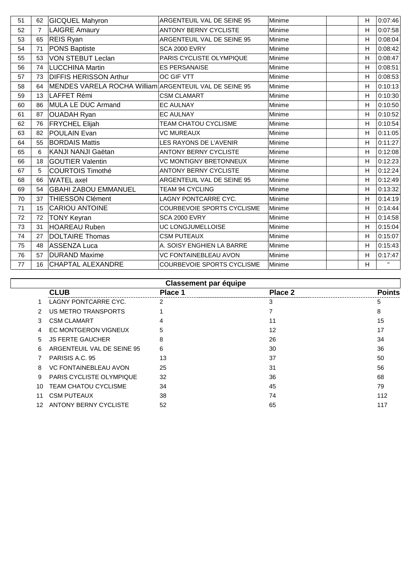| 51 | 62             | <b>GICQUEL Mahyron</b>                                 | ARGENTEUIL VAL DE SEINE 95        | Minime | н            | 0:07:46      |
|----|----------------|--------------------------------------------------------|-----------------------------------|--------|--------------|--------------|
| 52 | $\overline{7}$ | <b>LAIGRE Amaury</b>                                   | <b>ANTONY BERNY CYCLISTE</b>      | Minime | H            | 0:07:58      |
| 53 | 65             | REIS Ryan                                              | ARGENTEUIL VAL DE SEINE 95        | Minime | H            | 0:08:04      |
| 54 | 71             | PONS Baptiste                                          | <b>SCA 2000 EVRY</b>              | Minime | H            | 0:08:42      |
| 55 | 53             | <b>VON STEBUT Leclan</b>                               | PARIS CYCLISTE OLYMPIQUE          | Minime | H            | 0:08:47      |
| 56 | 74             | <b>LUCCHINA Martin</b>                                 | <b>ES PERSANAISE</b>              | Minime | H            | 0:08:51      |
| 57 | 73             | <b>DIFFIS HERISSON Arthur</b>                          | OC GIF VTT                        | Minime | H            | 0:08:53      |
| 58 | 64             | MENDES VARELA ROCHA William ARGENTEUIL VAL DE SEINE 95 |                                   | Minime | H            | 0:10:13      |
| 59 | 13             | LAFFET Rémi                                            | <b>CSM CLAMART</b>                | Minime | H            | 0:10:30      |
| 60 | 86             | <b>MULA LE DUC Armand</b>                              | <b>EC AULNAY</b>                  | Minime | H            | 0:10:50      |
| 61 | 87             | <b>OUADAH Ryan</b>                                     | <b>EC AULNAY</b>                  | Minime | H            | 0:10:52      |
| 62 | 76             | <b>FRYCHEL Elijah</b>                                  | TEAM CHATOU CYCLISME              | Minime | $\mathsf{H}$ | 0:10:54      |
| 63 | 82             | POULAIN Evan                                           | <b>VC MUREAUX</b>                 | Minime | H            | 0:11:05      |
| 64 | 55             | <b>BORDAIS Mattis</b>                                  | LES RAYONS DE L'AVENIR            | Minime | H            | 0:11:27      |
| 65 | 6              | KANJI NANJI Gaëtan                                     | <b>ANTONY BERNY CYCLISTE</b>      | Minime | H            | 0:12:08      |
| 66 | 18             | <b>GOUTIER Valentin</b>                                | <b>VC MONTIGNY BRETONNEUX</b>     | Minime | H            | 0:12:23      |
| 67 | 5              | <b>COURTOIS Timothé</b>                                | <b>ANTONY BERNY CYCLISTE</b>      | Minime | H            | 0:12:24      |
| 68 | 66             | <b>WATEL</b> axel                                      | ARGENTEUIL VAL DE SEINE 95        | Minime | H            | 0:12:49      |
| 69 | 54             | <b>GBAHI ZABOU EMMANUEL</b>                            | <b>TEAM 94 CYCLING</b>            | Minime | H            | 0:13:32      |
| 70 | 37             | <b>THIESSON Clément</b>                                | LAGNY PONTCARRE CYC.              | Minime | H            | 0:14:19      |
| 71 | 15             | <b>CARIOU ANTOINE</b>                                  | COURBEVOIE SPORTS CYCLISME        | Minime | H            | 0:14:44      |
| 72 | 72             | <b>TONY Keyran</b>                                     | <b>SCA 2000 EVRY</b>              | Minime | H            | 0:14:58      |
| 73 | 31             | <b>HOAREAU Ruben</b>                                   | UC LONGJUMELLOISE                 | Minime | H            | 0:15:04      |
| 74 | 27             | <b>DOLTAIRE Thomas</b>                                 | <b>CSM PUTEAUX</b>                | Minime | H            | 0:15:07      |
| 75 | 48             | <b>ASSENZA Luca</b>                                    | A. SOISY ENGHIEN LA BARRE         | Minime | H            | 0:15:43      |
| 76 | 57             | <b>DURAND Maxime</b>                                   | VC FONTAINEBLEAU AVON             | Minime | H            | 0:17:47      |
| 77 | 16             | <b>CHAPTAL ALEXANDRE</b>                               | <b>COURBEVOIE SPORTS CYCLISME</b> | Minime | H            | $\mathbf{H}$ |

| <b>Classement par équipe</b> |                                 |         |         |               |  |
|------------------------------|---------------------------------|---------|---------|---------------|--|
|                              | <b>CLUB</b>                     | Place 1 | Place 2 | <b>Points</b> |  |
|                              | LAGNY PONTCARRE CYC.            | 2       | 3       | 5             |  |
| 2                            | <b>US METRO TRANSPORTS</b>      |         |         | 8             |  |
| 3                            | <b>CSM CLAMART</b>              | 4       | 11      | 15            |  |
| 4                            | EC MONTGERON VIGNEUX            | 5       | 12      | 17            |  |
| 5                            | <b>JS FERTE GAUCHER</b>         | 8       | 26      | 34            |  |
| 6                            | ARGENTEUIL VAL DE SEINE 95      | 6       | 30      | 36            |  |
|                              | PARISIS A.C. 95                 | 13      | 37      | 50            |  |
| 8                            | <b>VC FONTAINEBLEAU AVON</b>    | 25      | 31      | 56            |  |
| 9                            | <b>PARIS CYCLISTE OLYMPIQUE</b> | 32      | 36      | 68            |  |
| 10                           | <b>TEAM CHATOU CYCLISME</b>     | 34      | 45      | 79            |  |
| 11                           | <b>CSM PUTEAUX</b>              | 38      | 74      | 112           |  |
| 12                           | ANTONY BERNY CYCLISTE           | 52      | 65      | 117           |  |
|                              |                                 |         |         |               |  |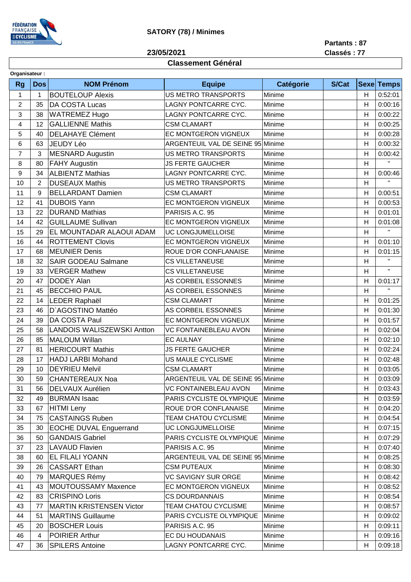

## **SATORY (78) / Minimes**

**23/05/2021**

**Partants : 87**

### **Classement Général**

**Classés : 77**

| Organisateur:  |                |                                   |                                   |           |              |    |                   |  |
|----------------|----------------|-----------------------------------|-----------------------------------|-----------|--------------|----|-------------------|--|
| <b>Rg</b>      | <b>Dos</b>     | <b>NOM Prénom</b>                 | <b>Equipe</b>                     | Catégorie | <b>S/Cat</b> |    | <b>Sexe Temps</b> |  |
| $\mathbf{1}$   | 1              | <b>BOUTELOUP Alexis</b>           | <b>US METRO TRANSPORTS</b>        | Minime    |              | H  | 0:52:01           |  |
| $\overline{2}$ | 35             | DA COSTA Lucas                    | LAGNY PONTCARRE CYC.              | Minime    |              | H  | 0:00:16           |  |
| 3              | 38             | <b>WATREMEZ Hugo</b>              | LAGNY PONTCARRE CYC.              | Minime    |              | H  | 0:00:22           |  |
| 4              | 12             | <b>GALLIENNE Mathis</b>           | <b>CSM CLAMART</b>                | Minime    |              | H  | 0:00:25           |  |
| 5              | 40             | <b>DELAHAYE Clément</b>           | EC MONTGERON VIGNEUX              | Minime    |              | H  | 0:00:28           |  |
| 6              | 63             | <b>JEUDY Léo</b>                  | ARGENTEUIL VAL DE SEINE 95 Minime |           |              | H  | 0:00:32           |  |
| 7              | 3              | <b>MESNARD Augustin</b>           | <b>US METRO TRANSPORTS</b>        | Minime    |              | H  | 0:00:42           |  |
| 8              | 80             | <b>FAHY Augustin</b>              | <b>JS FERTE GAUCHER</b>           | Minime    |              | H  | $\mathbf{H}$      |  |
| 9              | 34             | <b>ALBIENTZ Mathias</b>           | LAGNY PONTCARRE CYC.              | Minime    |              | H  | 0:00:46           |  |
| 10             | $\overline{2}$ | <b>DUSEAUX Mathis</b>             | <b>US METRO TRANSPORTS</b>        | Minime    |              | H  | $\mathbf{H}$      |  |
| 11             | 9              | <b>BELLARDANT Damien</b>          | <b>CSM CLAMART</b>                | Minime    |              | H  | 0:00:51           |  |
| 12             | 41             | <b>DUBOIS Yann</b>                | EC MONTGERON VIGNEUX              | Minime    |              | H  | 0:00:53           |  |
| 13             | 22             | <b>DURAND Mathias</b>             | PARISIS A.C. 95                   | Minime    |              | H  | 0:01:01           |  |
| 14             | 42             | <b>GUILLAUME Sullivan</b>         | EC MONTGERON VIGNEUX              | Minime    |              | H  | 0:01:08           |  |
| 15             | 29             | EL MOUNTADAR ALAOUI ADAM          | UC LONGJUMELLOISE                 | Minime    |              | H  | $\mathbf{H}$      |  |
| 16             | 44             | <b>ROTTEMENT Clovis</b>           | EC MONTGERON VIGNEUX              | Minime    |              | H  | 0:01:10           |  |
| 17             | 68             | <b>MEUNIER Denis</b>              | ROUE D'OR CONFLANAISE             | Minime    |              | H  | 0:01:15           |  |
| 18             | 32             | SAIR GODEAU Salmane               | <b>CS VILLETANEUSE</b>            | Minime    |              | H  | $\mathbf{H}$      |  |
| 19             | 33             | <b>VERGER Mathew</b>              | <b>CS VILLETANEUSE</b>            | Minime    |              | H  | $\mathbf{H}$      |  |
| 20             | 47             | DODEY Alan                        | AS CORBEIL ESSONNES               | Minime    |              | H  | 0:01:17           |  |
| 21             | 45             | <b>BECCHIO PAUL</b>               | AS CORBEIL ESSONNES               | Minime    |              | H  | $\mathbf{H}$      |  |
| 22             | 14             | LEDER Raphaël                     | <b>CSM CLAMART</b>                | Minime    |              | H  | 0:01:25           |  |
| 23             | 46             | D'AGOSTINO Mattéo                 | AS CORBEIL ESSONNES               | Minime    |              | H  | 0:01:30           |  |
| 24             | 39             | DA COSTA Paul                     | EC MONTGERON VIGNEUX              | Minime    |              | H  | 0:01:57           |  |
| 25             | 58             | <b>LANDOIS WALISZEWSKI Antton</b> | <b>VC FONTAINEBLEAU AVON</b>      | Minime    |              | H  | 0:02:04           |  |
| 26             | 85             | <b>MALOUM Willan</b>              | <b>EC AULNAY</b>                  | Minime    |              | H  | 0:02:10           |  |
| 27             | 81             | <b>HERICOURT Mathis</b>           | <b>JS FERTE GAUCHER</b>           | Minime    |              | H  | 0:02:24           |  |
| 28             | 17             | <b>HADJ LARBI Mohand</b>          | US MAULE CYCLISME                 | Minime    |              | H  | 0:02:48           |  |
| 29             | 10             | <b>DEYRIEU Melvil</b>             | <b>CSM CLAMART</b>                | Minime    |              | H  | 0:03:05           |  |
| 30             |                | 59 CHANTEREAUX Noa                | ARGENTEUIL VAL DE SEINE 95 Minime |           |              | H  | 0:03:09           |  |
| 31             | 56             | DELVAUX Aurélien                  | <b>VC FONTAINEBLEAU AVON</b>      | Minime    |              | H. | 0:03:43           |  |
| 32             | 49             | <b>BURMAN Isaac</b>               | PARIS CYCLISTE OLYMPIQUE          | Minime    |              | H  | 0:03:59           |  |
| 33             | 67             | <b>HITMI</b> Leny                 | ROUE D'OR CONFLANAISE             | Minime    |              | H  | 0:04:20           |  |
| 34             | 75             | <b>CASTAINGS Ruben</b>            | TEAM CHATOU CYCLISME              | Minime    |              | H  | 0:04:54           |  |
| 35             | 30             | <b>EOCHE DUVAL Enguerrand</b>     | UC LONGJUMELLOISE                 | Minime    |              | H  | 0:07:15           |  |
| 36             | 50             | <b>GANDAIS Gabriel</b>            | PARIS CYCLISTE OLYMPIQUE          | Minime    |              | H  | 0:07:29           |  |
| 37             | 23             | <b>LAVAUD Flavien</b>             | PARISIS A.C. 95                   | Minime    |              | H  | 0:07:40           |  |
| 38             | 60             | EL FILALI YOANN                   | ARGENTEUIL VAL DE SEINE 95 Minime |           |              | H  | 0:08:25           |  |
| 39             | 26             | <b>CASSART Ethan</b>              | <b>CSM PUTEAUX</b>                | Minime    |              | H  | 0:08:30           |  |
| 40             | 79             | <b>MARQUES Rémy</b>               | <b>VC SAVIGNY SUR ORGE</b>        | Minime    |              | H  | 0:08:42           |  |
| 41             | 43             | MOUTOUSSAMY Maxence               | EC MONTGERON VIGNEUX              | Minime    |              | H  | 0:08:52           |  |
| 42             | 83             | <b>CRISPINO Loris</b>             | <b>CS DOURDANNAIS</b>             | Minime    |              | H  | 0:08:54           |  |
| 43             | 77             | <b>MARTIN KRISTENSEN Victor</b>   | TEAM CHATOU CYCLISME              | Minime    |              | H  | 0:08:57           |  |
| 44             | 51             | <b>MARTINS Guillaume</b>          | PARIS CYCLISTE OLYMPIQUE          | Minime    |              | H  | 0:09:02           |  |
| 45             | 20             | <b>BOSCHER Louis</b>              | PARISIS A.C. 95                   | Minime    |              | H  | 0:09:11           |  |
| 46             | 4              | <b>POIRIER Arthur</b>             | EC DU HOUDANAIS                   | Minime    |              | H  | 0:09:16           |  |
| 47             | 36             | <b>SPILERS Antoine</b>            | LAGNY PONTCARRE CYC.              | Minime    |              | H  | 0:09:18           |  |